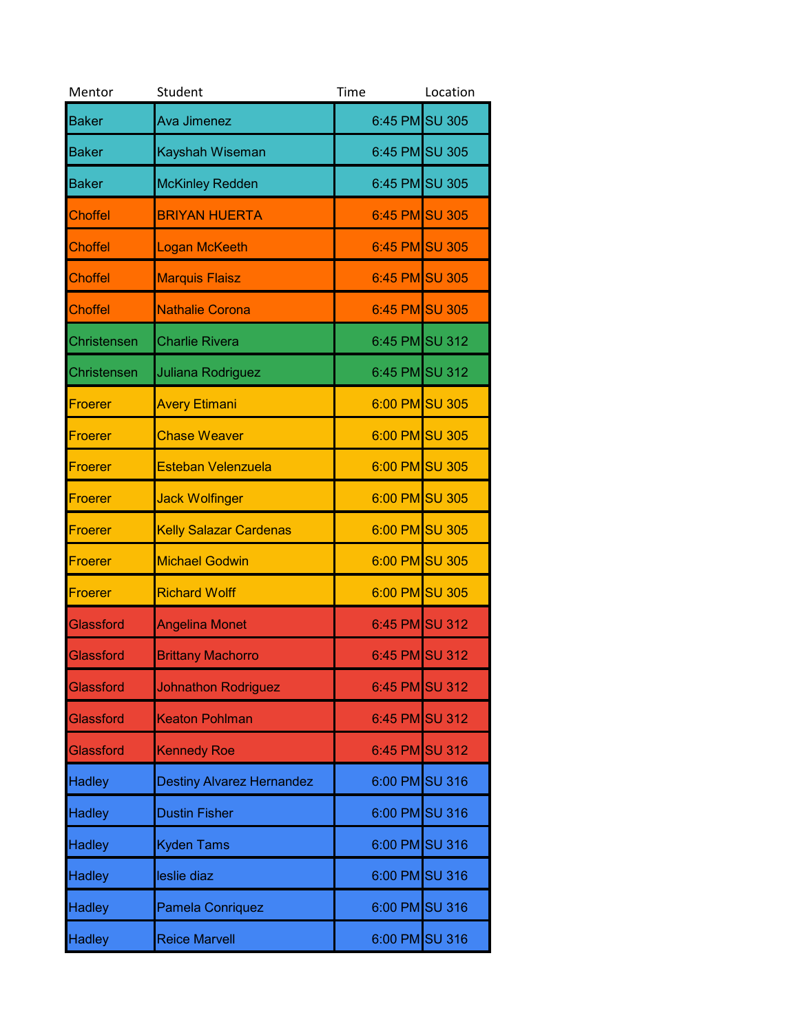| Mentor         | Student                          | Time           | Location |
|----------------|----------------------------------|----------------|----------|
| <b>Baker</b>   | Ava Jimenez                      | 6:45 PM SU 305 |          |
| <b>Baker</b>   | Kayshah Wiseman                  | 6:45 PM SU 305 |          |
| <b>Baker</b>   | <b>McKinley Redden</b>           | 6:45 PM SU 305 |          |
| <b>Choffel</b> | <b>BRIYAN HUERTA</b>             | 6:45 PM SU 305 |          |
| Choffel        | Logan McKeeth                    | 6:45 PM SU 305 |          |
| <b>Choffel</b> | <b>Marquis Flaisz</b>            | 6:45 PM SU 305 |          |
| <b>Choffel</b> | Nathalie Corona                  | 6:45 PM SU 305 |          |
| Christensen    | <b>Charlie Rivera</b>            | 6:45 PM SU 312 |          |
| Christensen    | Juliana Rodriguez                | 6:45 PM SU 312 |          |
| <b>Froerer</b> | <b>Avery Etimani</b>             | 6:00 PM SU 305 |          |
| <b>Froerer</b> | <b>Chase Weaver</b>              | 6:00 PM SU 305 |          |
| <b>Froerer</b> | <b>Esteban Velenzuela</b>        | 6:00 PM SU 305 |          |
| <b>Froerer</b> | <b>Jack Wolfinger</b>            | 6:00 PM SU 305 |          |
| Froerer        | <b>Kelly Salazar Cardenas</b>    | 6:00 PM SU 305 |          |
| <b>Froerer</b> | <b>Michael Godwin</b>            | 6:00 PM SU 305 |          |
| <b>Froerer</b> | <b>Richard Wolff</b>             | 6:00 PM SU 305 |          |
| Glassford      | <b>Angelina Monet</b>            | 6:45 PM SU 312 |          |
| Glassford      | <b>Brittany Machorro</b>         | 6:45 PM SU 312 |          |
| Glassford      | <b>Johnathon Rodriguez</b>       | 6:45 PM SU 312 |          |
| Glassford      | <b>Keaton Pohlman</b>            | 6:45 PM SU 312 |          |
| Glassford      | <b>Kennedy Roe</b>               | 6:45 PM SU 312 |          |
| <b>Hadley</b>  | <b>Destiny Alvarez Hernandez</b> | 6:00 PM SU 316 |          |
| <b>Hadley</b>  | <b>Dustin Fisher</b>             | 6:00 PM SU 316 |          |
| <b>Hadley</b>  | <b>Kyden Tams</b>                | 6:00 PM SU 316 |          |
| <b>Hadley</b>  | leslie diaz                      | 6:00 PM SU 316 |          |
| <b>Hadley</b>  | <b>Pamela Conriquez</b>          | 6:00 PM SU 316 |          |
| <b>Hadley</b>  | <b>Reice Marvell</b>             | 6:00 PM SU 316 |          |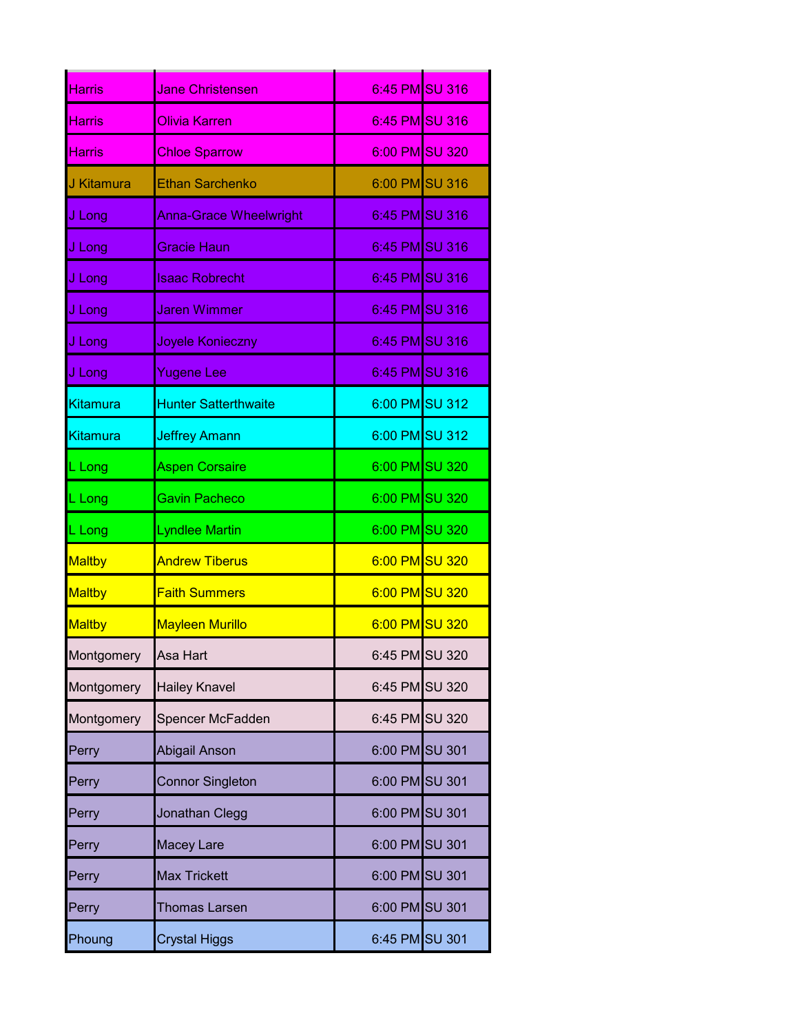| <b>Harris</b> | <b>Jane Christensen</b>       | 6:45 PM SU 316 |  |
|---------------|-------------------------------|----------------|--|
| <b>Harris</b> | <b>Olivia Karren</b>          | 6:45 PM SU 316 |  |
| <b>Harris</b> | <b>Chloe Sparrow</b>          | 6:00 PM SU 320 |  |
| J Kitamura    | <b>Ethan Sarchenko</b>        | 6:00 PM SU 316 |  |
| J Long        | <b>Anna-Grace Wheelwright</b> | 6:45 PM SU 316 |  |
| J Long        | <b>Gracie Haun</b>            | 6:45 PM SU 316 |  |
| J Long        | <b>Isaac Robrecht</b>         | 6:45 PM SU 316 |  |
| J Long        | <b>Jaren Wimmer</b>           | 6:45 PM SU 316 |  |
| J Long        | Joyele Konieczny              | 6:45 PM SU 316 |  |
| J Long        | <b>Yugene Lee</b>             | 6:45 PM SU 316 |  |
| Kitamura      | <b>Hunter Satterthwaite</b>   | 6:00 PM SU 312 |  |
| Kitamura      | <b>Jeffrey Amann</b>          | 6:00 PM SU 312 |  |
| L Long        | <b>Aspen Corsaire</b>         | 6:00 PM SU 320 |  |
| L Long        | Gavin Pacheco                 | 6:00 PM SU 320 |  |
| L Long        | <b>Lyndlee Martin</b>         | 6:00 PM SU 320 |  |
| Maltby        | <b>Andrew Tiberus</b>         | 6:00 PM SU 320 |  |
| <b>Maltby</b> | <b>Faith Summers</b>          | 6:00 PM SU 320 |  |
| <b>Maltby</b> | <b>Mayleen Murillo</b>        | 6:00 PM SU 320 |  |
| Montgomery    | Asa Hart                      | 6:45 PM SU 320 |  |
| Montgomery    | <b>Hailey Knavel</b>          | 6:45 PM SU 320 |  |
| Montgomery    | Spencer McFadden              | 6:45 PM SU 320 |  |
| Perry         | Abigail Anson                 | 6:00 PM SU 301 |  |
| Perry         | <b>Connor Singleton</b>       | 6:00 PM SU 301 |  |
| Perry         | Jonathan Clegg                | 6:00 PM SU 301 |  |
| Perry         | Macey Lare                    | 6:00 PM SU 301 |  |
| Perry         | <b>Max Trickett</b>           | 6:00 PM SU 301 |  |
| Perry         | <b>Thomas Larsen</b>          | 6:00 PM SU 301 |  |
| Phoung        | <b>Crystal Higgs</b>          | 6:45 PM SU 301 |  |